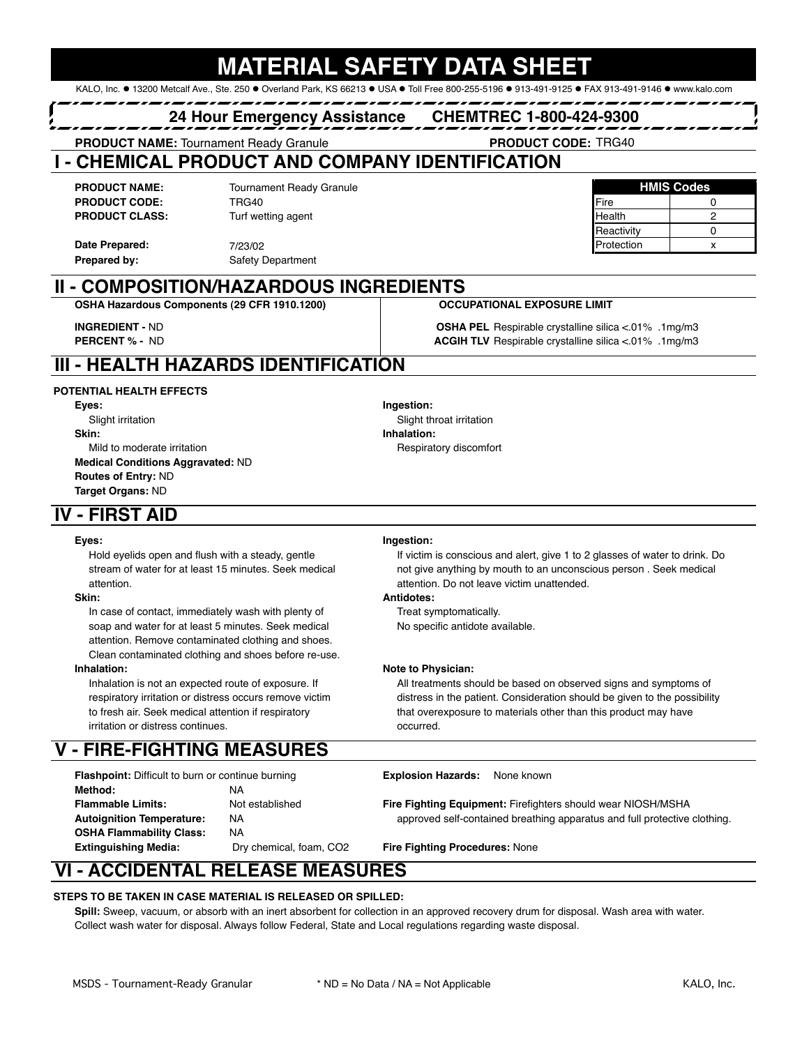# ERIAL SAFETY DA

KALO, Inc. . 13200 Metcalf Ave., Ste. 250 . Overland Park, KS 66213 . USA . Toll Free 800-255-5196 . 913-491-9125 . FAX 913-491-9146 . www.kalo.com

## **24 Hour Emergency Assistance CHEMTREC 1-800-424-9300**

**PRODUCT NAME: Tournament Ready Granule** 

# **I - CHEMICAL PRODUCT AND COMPANY IDENTIFICATION**

**PRODUCT NAME: HMIS Codes** Tournament Ready Granule **PRODUCT CODE:** TRG40 **Fire 0** TRG40 **Fire 1** TRG10 **PRODUCT CLASS:** Turf wetting agent **All and Club and Club and Club and Club and Club and 2** 2 TRG40

**Prepared by:**

#### **Date Prepared:**  $\frac{7}{2302}$  7/23/02 7/23/02 Safety Department

**II - COMPOSITION/HAZARDOUS INGREDIENTS**

### **OCCUPATIONAL EXPOSURE LIMIT**

ASHA PEL Respirable crystalline silica <. 01% .1mg/m3 ACGIH TLV Respirable crystalline silica < 01% .1mg/m3

Reactivity | 0

# **III - HEALTH HAZARDS IDENTIFICATION**

**OSHA Hazardous Components (29 CFR 1910.1200)**

### **POTENTIAL HEALTH EFFECTS**

**INGREDIENT - ND PERCENT % - ND** 

**Skin: Inhalation:** Mild to moderate irritation **Respiratory discomfort** Respiratory discomfort **Medical Conditions Aggravated:** ND **Routes of Entry:** ND **Target Organs:** ND

# **Eyes: Ingestion:** Slight irritation Solution Slight throat irritation Slight throat irritation

## **IV - FIRST AID**

attention. attention. Do not leave victim unattended.

In case of contact, immediately wash with plenty of Treat symptomatically. soap and water for at least 5 minutes. Seek medical No specific antidote available. attention. Remove contaminated clothing and shoes. Clean contaminated clothing and shoes before re-use.

irritation or distress continues.

# **V - FIRE-FIGHTING MEASURES**

**Flashpoint:** Difficult to burn or continue burning **Explosion Hazards:** None known **Method:** NA **Autoignition Temperature:** NA **OSHA Flammability Class:** NA **Extinguishing Media:** Dry chemical, foam, CO2 **Fire Fighting Procedures:** None

### **Eyes: Ingestion:**

Hold eyelids open and flush with a steady, gentle If victim is conscious and alert, give 1 to 2 glasses of water to drink. Do stream of water for at least 15 minutes. Seek medical not give anything by mouth to an unconscious person . Seek medical

### **Skin: Antidotes:**

### **Inhalation: Note to Physician: Note to Physician:**

Inhalation is not an expected route of exposure. If All treatments should be based on observed signs and symptoms of respiratory irritation or distress occurs remove victim distress in the patient. Consideration should be given to the possibility to fresh air. Seek medical attention if respiratory that overexposure to materials other than this product may have

**Flammable Limits:** Not established **Fire Fighting Equipment:** Firefighters should wear NIOSH/MSHA approved self-contained breathing apparatus and full protective clothing.

# **VI - ACCIDENTAL RELEASE MEASURES**

### **STEPS TO BE TAKEN IN CASE MATERIAL IS RELEASED OR SPILLED:**

**Spill:** Sweep, vacuum, or absorb with an inert absorbent for collection in an approved recovery drum for disposal. Wash area with water. Collect wash water for disposal. Always follow Federal, State and Local regulations regarding waste disposal.

PRODUCT CODE: TRG40